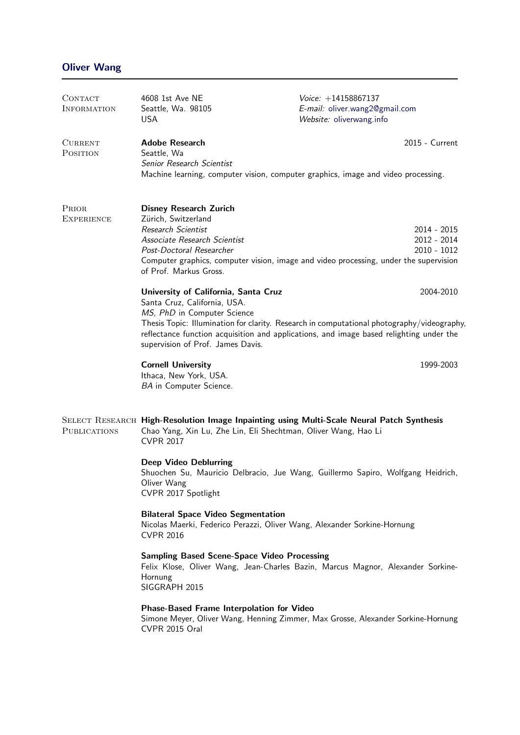| CONTACT<br><b>INFORMATION</b> | 4608 1st Ave NE<br>Seattle, Wa. 98105<br><b>USA</b>                                                                                                                                                                                                                                                                                      | $V^{\text{oice:}} + 14158867137$<br>E-mail: oliver.wang2@gmail.com<br>Website: oliverwang.info                                                                                                     |  |
|-------------------------------|------------------------------------------------------------------------------------------------------------------------------------------------------------------------------------------------------------------------------------------------------------------------------------------------------------------------------------------|----------------------------------------------------------------------------------------------------------------------------------------------------------------------------------------------------|--|
| <b>CURRENT</b><br>POSITION    | <b>Adobe Research</b><br>Seattle, Wa<br>Senior Research Scientist<br>Machine learning, computer vision, computer graphics, image and video processing.                                                                                                                                                                                   | 2015 - Current                                                                                                                                                                                     |  |
| PRIOR<br><b>EXPERIENCE</b>    | <b>Disney Research Zurich</b><br>Zürich, Switzerland<br>Research Scientist<br>Associate Research Scientist<br>Post-Doctoral Researcher<br>of Prof. Markus Gross.                                                                                                                                                                         | 2014 - 2015<br>2012 - 2014<br>$2010 - 1012$<br>Computer graphics, computer vision, image and video processing, under the supervision                                                               |  |
|                               | University of California, Santa Cruz<br>Santa Cruz, California, USA.<br>MS, PhD in Computer Science<br>supervision of Prof. James Davis.                                                                                                                                                                                                 | 2004-2010<br>Thesis Topic: Illumination for clarity. Research in computational photography/videography,<br>reflectance function acquisition and applications, and image based relighting under the |  |
|                               | <b>Cornell University</b><br>Ithaca, New York, USA.<br>BA in Computer Science.                                                                                                                                                                                                                                                           | 1999-2003                                                                                                                                                                                          |  |
| <b>PUBLICATIONS</b>           | SELECT RESEARCH High-Resolution Image Inpainting using Multi-Scale Neural Patch Synthesis<br>Chao Yang, Xin Lu, Zhe Lin, Eli Shechtman, Oliver Wang, Hao Li<br><b>CVPR 2017</b><br><b>Deep Video Deblurring</b><br>Shuochen Su, Mauricio Delbracio, Jue Wang, Guillermo Sapiro, Wolfgang Heidrich,<br>Oliver Wang<br>CVPR 2017 Spotlight |                                                                                                                                                                                                    |  |
|                               | <b>Bilateral Space Video Segmentation</b><br>Nicolas Maerki, Federico Perazzi, Oliver Wang, Alexander Sorkine-Hornung<br><b>CVPR 2016</b>                                                                                                                                                                                                |                                                                                                                                                                                                    |  |
|                               | <b>Sampling Based Scene-Space Video Processing</b><br>Felix Klose, Oliver Wang, Jean-Charles Bazin, Marcus Magnor, Alexander Sorkine-<br>Hornung<br>SIGGRAPH 2015                                                                                                                                                                        |                                                                                                                                                                                                    |  |
|                               | <b>Phase-Based Frame Interpolation for Video</b><br>CVPR 2015 Oral                                                                                                                                                                                                                                                                       | Simone Meyer, Oliver Wang, Henning Zimmer, Max Grosse, Alexander Sorkine-Hornung                                                                                                                   |  |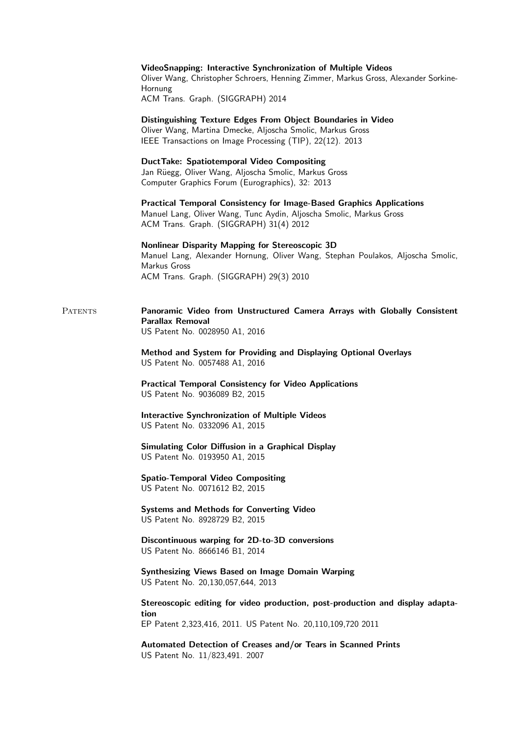|                | VideoSnapping: Interactive Synchronization of Multiple Videos<br>Oliver Wang, Christopher Schroers, Henning Zimmer, Markus Gross, Alexander Sorkine-<br>Hornung<br>ACM Trans. Graph. (SIGGRAPH) 2014 |
|----------------|------------------------------------------------------------------------------------------------------------------------------------------------------------------------------------------------------|
|                | Distinguishing Texture Edges From Object Boundaries in Video<br>Oliver Wang, Martina Dmecke, Aljoscha Smolic, Markus Gross<br>IEEE Transactions on Image Processing (TIP), 22(12). 2013              |
|                | <b>DuctTake: Spatiotemporal Video Compositing</b><br>Jan Rüegg, Oliver Wang, Aljoscha Smolic, Markus Gross<br>Computer Graphics Forum (Eurographics), 32: 2013                                       |
|                | <b>Practical Temporal Consistency for Image-Based Graphics Applications</b><br>Manuel Lang, Oliver Wang, Tunc Aydin, Aljoscha Smolic, Markus Gross<br>ACM Trans. Graph. (SIGGRAPH) 31(4) 2012        |
|                | Nonlinear Disparity Mapping for Stereoscopic 3D<br>Manuel Lang, Alexander Hornung, Oliver Wang, Stephan Poulakos, Aljoscha Smolic,<br>Markus Gross<br>ACM Trans. Graph. (SIGGRAPH) 29(3) 2010        |
| <b>PATENTS</b> | Panoramic Video from Unstructured Camera Arrays with Globally Consistent<br><b>Parallax Removal</b><br>US Patent No. 0028950 A1, 2016                                                                |
|                | Method and System for Providing and Displaying Optional Overlays<br>US Patent No. 0057488 A1, 2016                                                                                                   |
|                | <b>Practical Temporal Consistency for Video Applications</b><br>US Patent No. 9036089 B2, 2015                                                                                                       |
|                | <b>Interactive Synchronization of Multiple Videos</b><br>US Patent No. 0332096 A1, 2015                                                                                                              |
|                | Simulating Color Diffusion in a Graphical Display<br>US Patent No. 0193950 A1, 2015                                                                                                                  |
|                | <b>Spatio-Temporal Video Compositing</b><br>US Patent No. 0071612 B2, 2015                                                                                                                           |
|                | <b>Systems and Methods for Converting Video</b><br>US Patent No. 8928729 B2, 2015                                                                                                                    |
|                | Discontinuous warping for 2D-to-3D conversions<br>US Patent No. 8666146 B1, 2014                                                                                                                     |
|                | <b>Synthesizing Views Based on Image Domain Warping</b><br>US Patent No. 20,130,057,644, 2013                                                                                                        |
|                | Stereoscopic editing for video production, post-production and display adapta-<br>tion<br>EP Patent 2,323,416, 2011. US Patent No. 20,110,109,720 2011                                               |
|                | Automated Detection of Creases and/or Tears in Scanned Prints<br>US Patent No. 11/823,491. 2007                                                                                                      |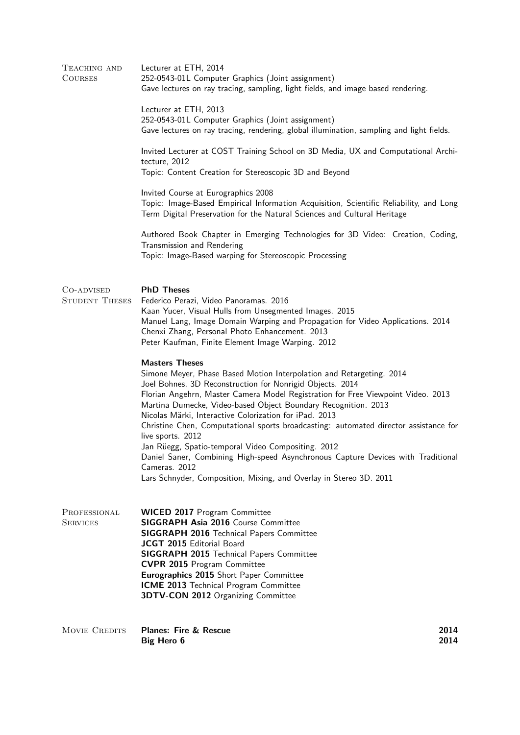| TEACHING AND<br><b>COURSES</b>      | Lecturer at ETH, 2014<br>252-0543-01L Computer Graphics (Joint assignment)<br>Gave lectures on ray tracing, sampling, light fields, and image based rendering.<br>Lecturer at ETH, 2013<br>252-0543-01L Computer Graphics (Joint assignment)<br>Gave lectures on ray tracing, rendering, global illumination, sampling and light fields.<br>Invited Lecturer at COST Training School on 3D Media, UX and Computational Archi-<br>tecture, 2012<br>Topic: Content Creation for Stereoscopic 3D and Beyond<br>Invited Course at Eurographics 2008<br>Topic: Image-Based Empirical Information Acquisition, Scientific Reliability, and Long<br>Term Digital Preservation for the Natural Sciences and Cultural Heritage<br>Authored Book Chapter in Emerging Technologies for 3D Video: Creation, Coding, |              |
|-------------------------------------|---------------------------------------------------------------------------------------------------------------------------------------------------------------------------------------------------------------------------------------------------------------------------------------------------------------------------------------------------------------------------------------------------------------------------------------------------------------------------------------------------------------------------------------------------------------------------------------------------------------------------------------------------------------------------------------------------------------------------------------------------------------------------------------------------------|--------------|
|                                     | Transmission and Rendering<br>Topic: Image-Based warping for Stereoscopic Processing                                                                                                                                                                                                                                                                                                                                                                                                                                                                                                                                                                                                                                                                                                                    |              |
| CO-ADVISED<br><b>STUDENT THESES</b> | <b>PhD Theses</b><br>Federico Perazi, Video Panoramas. 2016<br>Kaan Yucer, Visual Hulls from Unsegmented Images. 2015<br>Manuel Lang, Image Domain Warping and Propagation for Video Applications. 2014<br>Chenxi Zhang, Personal Photo Enhancement. 2013<br>Peter Kaufman, Finite Element Image Warping. 2012<br><b>Masters Theses</b><br>Simone Meyer, Phase Based Motion Interpolation and Retargeting. 2014<br>Joel Bohnes, 3D Reconstruction for Nonrigid Objects. 2014<br>Florian Angehrn, Master Camera Model Registration for Free Viewpoint Video. 2013<br>Martina Dumecke, Video-based Object Boundary Recognition. 2013<br>Nicolas Märki, Interactive Colorization for iPad. 2013<br>Christine Chen, Computational sports broadcasting: automated director assistance for                    |              |
|                                     | live sports. 2012<br>Jan Rüegg, Spatio-temporal Video Compositing. 2012<br>Daniel Saner, Combining High-speed Asynchronous Capture Devices with Traditional<br>Cameras. 2012<br>Lars Schnyder, Composition, Mixing, and Overlay in Stereo 3D. 2011                                                                                                                                                                                                                                                                                                                                                                                                                                                                                                                                                      |              |
| PROFESSIONAL<br><b>SERVICES</b>     | <b>WICED 2017 Program Committee</b><br><b>SIGGRAPH Asia 2016 Course Committee</b><br><b>SIGGRAPH 2016 Technical Papers Committee</b><br>JCGT 2015 Editorial Board<br><b>SIGGRAPH 2015 Technical Papers Committee</b><br><b>CVPR 2015</b> Program Committee<br>Eurographics 2015 Short Paper Committee<br>ICME 2013 Technical Program Committee<br><b>3DTV-CON 2012</b> Organizing Committee                                                                                                                                                                                                                                                                                                                                                                                                             |              |
| <b>MOVIE CREDITS</b>                | <b>Planes: Fire &amp; Rescue</b><br><b>Big Hero 6</b>                                                                                                                                                                                                                                                                                                                                                                                                                                                                                                                                                                                                                                                                                                                                                   | 2014<br>2014 |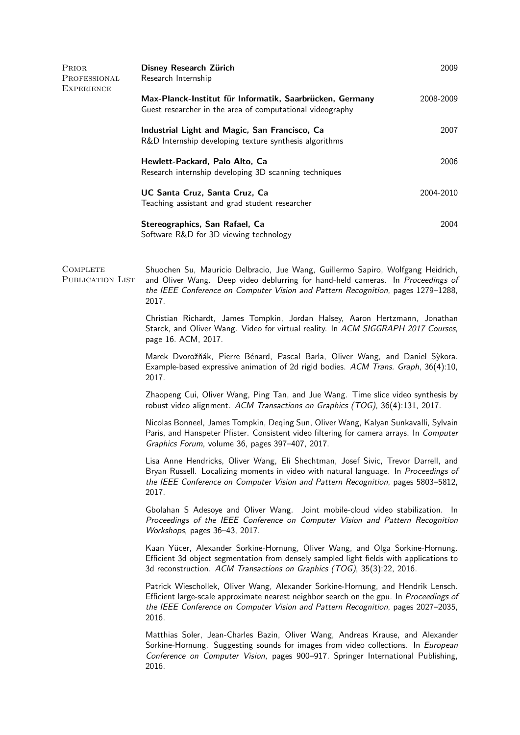| Prior<br>PROFESSIONAL<br>EXPERIENCE | Disney Research Zürich<br>Research Internship                                                                                                                                                                                                                            | 2009      |  |
|-------------------------------------|--------------------------------------------------------------------------------------------------------------------------------------------------------------------------------------------------------------------------------------------------------------------------|-----------|--|
|                                     | Max-Planck-Institut für Informatik, Saarbrücken, Germany<br>Guest researcher in the area of computational videography                                                                                                                                                    | 2008-2009 |  |
|                                     | Industrial Light and Magic, San Francisco, Ca<br>R&D Internship developing texture synthesis algorithms                                                                                                                                                                  | 2007      |  |
|                                     | Hewlett-Packard, Palo Alto, Ca<br>Research internship developing 3D scanning techniques                                                                                                                                                                                  | 2006      |  |
|                                     | UC Santa Cruz, Santa Cruz, Ca<br>Teaching assistant and grad student researcher                                                                                                                                                                                          | 2004-2010 |  |
|                                     | Stereographics, San Rafael, Ca<br>Software R&D for 3D viewing technology                                                                                                                                                                                                 | 2004      |  |
| COMPLETE<br>PUBLICATION LIST        | Shuochen Su, Mauricio Delbracio, Jue Wang, Guillermo Sapiro, Wolfgang Heidrich,<br>and Oliver Wang. Deep video deblurring for hand-held cameras. In Proceedings of<br>the IEEE Conference on Computer Vision and Pattern Recognition, pages 1279-1288,<br>2017.          |           |  |
|                                     | Christian Richardt, James Tompkin, Jordan Halsey, Aaron Hertzmann, Jonathan<br>Starck, and Oliver Wang. Video for virtual reality. In ACM SIGGRAPH 2017 Courses,<br>page 16. ACM, 2017.                                                                                  |           |  |
|                                     | Marek Dvorožňák, Pierre Bénard, Pascal Barla, Oliver Wang, and Daniel Sykora.<br>Example-based expressive animation of 2d rigid bodies. ACM Trans. Graph, 36(4):10,<br>2017.                                                                                             |           |  |
|                                     | Zhaopeng Cui, Oliver Wang, Ping Tan, and Jue Wang. Time slice video synthesis by<br>robust video alignment. ACM Transactions on Graphics (TOG), 36(4):131, 2017.                                                                                                         |           |  |
|                                     | Nicolas Bonneel, James Tompkin, Deqing Sun, Oliver Wang, Kalyan Sunkavalli, Sylvain<br>Paris, and Hanspeter Pfister. Consistent video filtering for camera arrays. In Computer<br>Graphics Forum, volume 36, pages 397-407, 2017.                                        |           |  |
|                                     | Lisa Anne Hendricks, Oliver Wang, Eli Shechtman, Josef Sivic, Trevor Darrell, and<br>Bryan Russell. Localizing moments in video with natural language. In Proceedings of<br>the IEEE Conference on Computer Vision and Pattern Recognition, pages 5803-5812,<br>2017.    |           |  |
|                                     | Gbolahan S Adesoye and Oliver Wang. Joint mobile-cloud video stabilization. In<br>Proceedings of the IEEE Conference on Computer Vision and Pattern Recognition<br>Workshops, pages 36-43, 2017.                                                                         |           |  |
|                                     | Kaan Yücer, Alexander Sorkine-Hornung, Oliver Wang, and Olga Sorkine-Hornung.<br>Efficient 3d object segmentation from densely sampled light fields with applications to<br>3d reconstruction. ACM Transactions on Graphics (TOG), 35(3):22, 2016.                       |           |  |
|                                     | Patrick Wieschollek, Oliver Wang, Alexander Sorkine-Hornung, and Hendrik Lensch.<br>Efficient large-scale approximate nearest neighbor search on the gpu. In Proceedings of<br>the IEEE Conference on Computer Vision and Pattern Recognition, pages 2027-2035,<br>2016. |           |  |
|                                     | Matthias Soler, Jean-Charles Bazin, Oliver Wang, Andreas Krause, and Alexander<br>Sorkine-Hornung. Suggesting sounds for images from video collections. In European<br>Conference on Computer Vision, pages 900-917. Springer International Publishing,<br>2016.         |           |  |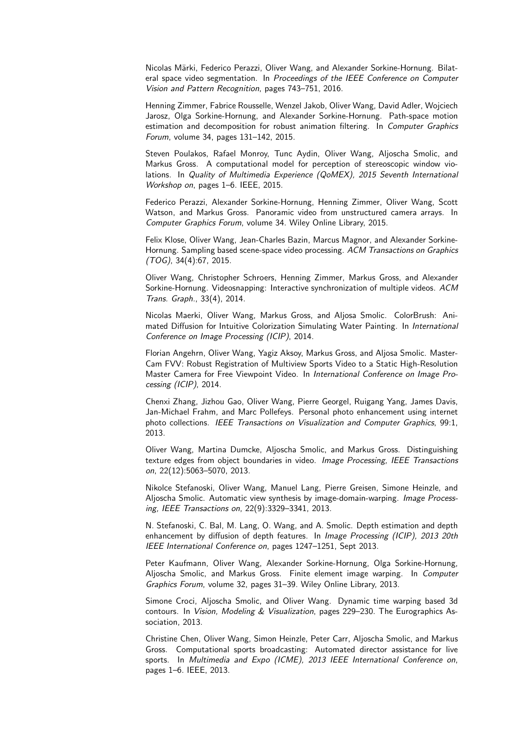Nicolas Märki, Federico Perazzi, Oliver Wang, and Alexander Sorkine-Hornung. Bilateral space video segmentation. In Proceedings of the IEEE Conference on Computer Vision and Pattern Recognition, pages 743–751, 2016.

Henning Zimmer, Fabrice Rousselle, Wenzel Jakob, Oliver Wang, David Adler, Wojciech Jarosz, Olga Sorkine-Hornung, and Alexander Sorkine-Hornung. Path-space motion estimation and decomposition for robust animation filtering. In Computer Graphics Forum, volume 34, pages 131–142, 2015.

Steven Poulakos, Rafael Monroy, Tunc Aydin, Oliver Wang, Aljoscha Smolic, and Markus Gross. A computational model for perception of stereoscopic window violations. In Quality of Multimedia Experience (QoMEX), 2015 Seventh International Workshop on, pages 1–6. IEEE, 2015.

Federico Perazzi, Alexander Sorkine-Hornung, Henning Zimmer, Oliver Wang, Scott Watson, and Markus Gross. Panoramic video from unstructured camera arrays. In Computer Graphics Forum, volume 34. Wiley Online Library, 2015.

Felix Klose, Oliver Wang, Jean-Charles Bazin, Marcus Magnor, and Alexander Sorkine-Hornung. Sampling based scene-space video processing. ACM Transactions on Graphics (TOG), 34(4):67, 2015.

Oliver Wang, Christopher Schroers, Henning Zimmer, Markus Gross, and Alexander Sorkine-Hornung. Videosnapping: Interactive synchronization of multiple videos. ACM Trans. Graph., 33(4), 2014.

Nicolas Maerki, Oliver Wang, Markus Gross, and Aljosa Smolic. ColorBrush: Animated Diffusion for Intuitive Colorization Simulating Water Painting. In International Conference on Image Processing (ICIP), 2014.

Florian Angehrn, Oliver Wang, Yagiz Aksoy, Markus Gross, and Aljosa Smolic. Master-Cam FVV: Robust Registration of Multiview Sports Video to a Static High-Resolution Master Camera for Free Viewpoint Video. In International Conference on Image Processing (ICIP), 2014.

Chenxi Zhang, Jizhou Gao, Oliver Wang, Pierre Georgel, Ruigang Yang, James Davis, Jan-Michael Frahm, and Marc Pollefeys. Personal photo enhancement using internet photo collections. IEEE Transactions on Visualization and Computer Graphics, 99:1, 2013.

Oliver Wang, Martina Dumcke, Aljoscha Smolic, and Markus Gross. Distinguishing texture edges from object boundaries in video. Image Processing, IEEE Transactions on, 22(12):5063–5070, 2013.

Nikolce Stefanoski, Oliver Wang, Manuel Lang, Pierre Greisen, Simone Heinzle, and Aljoscha Smolic. Automatic view synthesis by image-domain-warping. Image Processing, IEEE Transactions on, 22(9):3329–3341, 2013.

N. Stefanoski, C. Bal, M. Lang, O. Wang, and A. Smolic. Depth estimation and depth enhancement by diffusion of depth features. In *Image Processing (ICIP), 2013 20th* IEEE International Conference on, pages 1247–1251, Sept 2013.

Peter Kaufmann, Oliver Wang, Alexander Sorkine-Hornung, Olga Sorkine-Hornung, Aljoscha Smolic, and Markus Gross. Finite element image warping. In Computer Graphics Forum, volume 32, pages 31–39. Wiley Online Library, 2013.

Simone Croci, Aljoscha Smolic, and Oliver Wang. Dynamic time warping based 3d contours. In Vision, Modeling & Visualization, pages 229–230. The Eurographics Association, 2013.

Christine Chen, Oliver Wang, Simon Heinzle, Peter Carr, Aljoscha Smolic, and Markus Gross. Computational sports broadcasting: Automated director assistance for live sports. In Multimedia and Expo (ICME), 2013 IEEE International Conference on, pages 1–6. IEEE, 2013.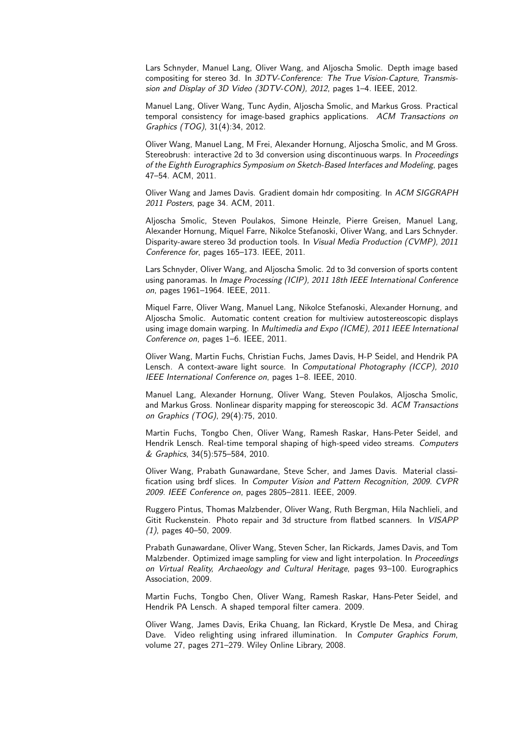Lars Schnyder, Manuel Lang, Oliver Wang, and Aljoscha Smolic. Depth image based compositing for stereo 3d. In 3DTV-Conference: The True Vision-Capture, Transmission and Display of 3D Video (3DTV-CON), 2012, pages 1–4. IEEE, 2012.

Manuel Lang, Oliver Wang, Tunc Aydin, Aljoscha Smolic, and Markus Gross. Practical temporal consistency for image-based graphics applications. ACM Transactions on Graphics (TOG), 31(4):34, 2012.

Oliver Wang, Manuel Lang, M Frei, Alexander Hornung, Aljoscha Smolic, and M Gross. Stereobrush: interactive 2d to 3d conversion using discontinuous warps. In Proceedings of the Eighth Eurographics Symposium on Sketch-Based Interfaces and Modeling, pages 47–54. ACM, 2011.

Oliver Wang and James Davis. Gradient domain hdr compositing. In ACM SIGGRAPH 2011 Posters, page 34. ACM, 2011.

Aljoscha Smolic, Steven Poulakos, Simone Heinzle, Pierre Greisen, Manuel Lang, Alexander Hornung, Miquel Farre, Nikolce Stefanoski, Oliver Wang, and Lars Schnyder. Disparity-aware stereo 3d production tools. In Visual Media Production (CVMP), 2011 Conference for, pages 165–173. IEEE, 2011.

Lars Schnyder, Oliver Wang, and Aljoscha Smolic. 2d to 3d conversion of sports content using panoramas. In Image Processing (ICIP), 2011 18th IEEE International Conference on, pages 1961–1964. IEEE, 2011.

Miquel Farre, Oliver Wang, Manuel Lang, Nikolce Stefanoski, Alexander Hornung, and Aljoscha Smolic. Automatic content creation for multiview autostereoscopic displays using image domain warping. In Multimedia and Expo (ICME), 2011 IEEE International Conference on, pages 1–6. IEEE, 2011.

Oliver Wang, Martin Fuchs, Christian Fuchs, James Davis, H-P Seidel, and Hendrik PA Lensch. A context-aware light source. In Computational Photography (ICCP), 2010 IEEE International Conference on, pages 1–8. IEEE, 2010.

Manuel Lang, Alexander Hornung, Oliver Wang, Steven Poulakos, Aljoscha Smolic, and Markus Gross. Nonlinear disparity mapping for stereoscopic 3d. ACM Transactions on Graphics (TOG), 29(4):75, 2010.

Martin Fuchs, Tongbo Chen, Oliver Wang, Ramesh Raskar, Hans-Peter Seidel, and Hendrik Lensch. Real-time temporal shaping of high-speed video streams. Computers & Graphics, 34(5):575–584, 2010.

Oliver Wang, Prabath Gunawardane, Steve Scher, and James Davis. Material classification using brdf slices. In Computer Vision and Pattern Recognition, 2009. CVPR 2009. IEEE Conference on, pages 2805–2811. IEEE, 2009.

Ruggero Pintus, Thomas Malzbender, Oliver Wang, Ruth Bergman, Hila Nachlieli, and Gitit Ruckenstein. Photo repair and 3d structure from flatbed scanners. In VISAPP (1), pages 40–50, 2009.

Prabath Gunawardane, Oliver Wang, Steven Scher, Ian Rickards, James Davis, and Tom Malzbender. Optimized image sampling for view and light interpolation. In Proceedings on Virtual Reality, Archaeology and Cultural Heritage, pages 93–100. Eurographics Association, 2009.

Martin Fuchs, Tongbo Chen, Oliver Wang, Ramesh Raskar, Hans-Peter Seidel, and Hendrik PA Lensch. A shaped temporal filter camera. 2009.

Oliver Wang, James Davis, Erika Chuang, Ian Rickard, Krystle De Mesa, and Chirag Dave. Video relighting using infrared illumination. In Computer Graphics Forum, volume 27, pages 271–279. Wiley Online Library, 2008.